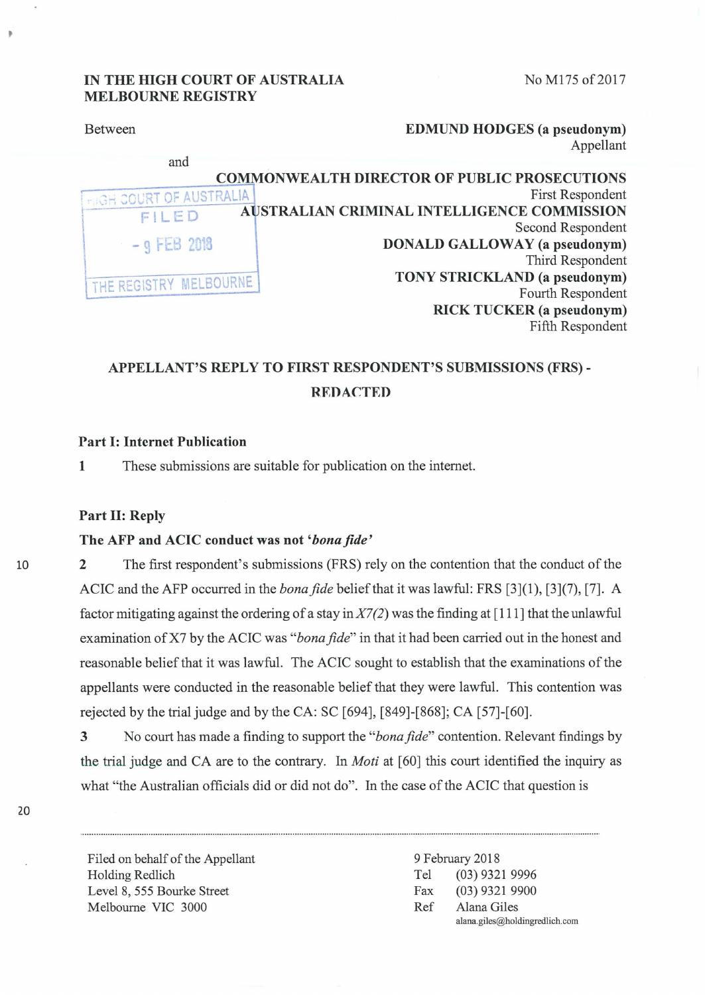No M175 of 2017

## IN THE HIGH COURT OF AUSTRALIA **MELBOURNE REGISTRY**

| <b>Between</b>                 | <b>EDMUND HODGES</b> (a pseudonym)                  |
|--------------------------------|-----------------------------------------------------|
|                                | Appellant                                           |
| and                            |                                                     |
|                                | <b>COMMONWEALTH DIRECTOR OF PUBLIC PROSECUTIONS</b> |
| <b>FIGH COURT OF AUSTRALIA</b> | First Respondent                                    |
| FILED                          | AUSTRALIAN CRIMINAL INTELLIGENCE COMMISSION         |
|                                | Second Respondent                                   |
| $-9$ FEB 2018                  | <b>DONALD GALLOWAY</b> (a pseudonym)                |
|                                | Third Respondent                                    |
| THE REGISTRY MELBOURNE         | <b>TONY STRICKLAND</b> (a pseudonym)                |
|                                | Fourth Respondent                                   |
|                                | <b>RICK TUCKER</b> (a pseudonym)                    |
|                                | Fifth Respondent                                    |

# APPELLANT'S REPLY TO FIRST RESPONDENT'S SUBMISSIONS (FRS) -**REDACTED**

## **Part I: Internet Publication**

 $\mathbf{1}$ These submissions are suitable for publication on the internet.

### Part II: Reply

### The AFP and ACIC conduct was not 'bona fide'

 $\overline{2}$ The first respondent's submissions (FRS) rely on the contention that the conduct of the ACIC and the AFP occurred in the *bona fide* belief that it was lawful: FRS [3](1), [3](7), [7]. A factor mitigating against the ordering of a stay in  $X7(2)$  was the finding at [111] that the unlawful examination of X7 by the ACIC was "bona fide" in that it had been carried out in the honest and reasonable belief that it was lawful. The ACIC sought to establish that the examinations of the appellants were conducted in the reasonable belief that they were lawful. This contention was rejected by the trial judge and by the CA: SC [694], [849]-[868]; CA [57]-[60].

No court has made a finding to support the "bona fide" contention. Relevant findings by 3 the trial judge and CA are to the contrary. In *Moti* at [60] this court identified the inquiry as what "the Australian officials did or did not do". In the case of the ACIC that question is

Filed on behalf of the Appellant Holding Redlich Level 8, 555 Bourke Street Melbourne VIC 3000

9 February 2018  $(03)$  9321 9996 Tel  $(03)$  9321 9900 Fax Ref Alana Giles alana.giles@holdingredlich.com

10

20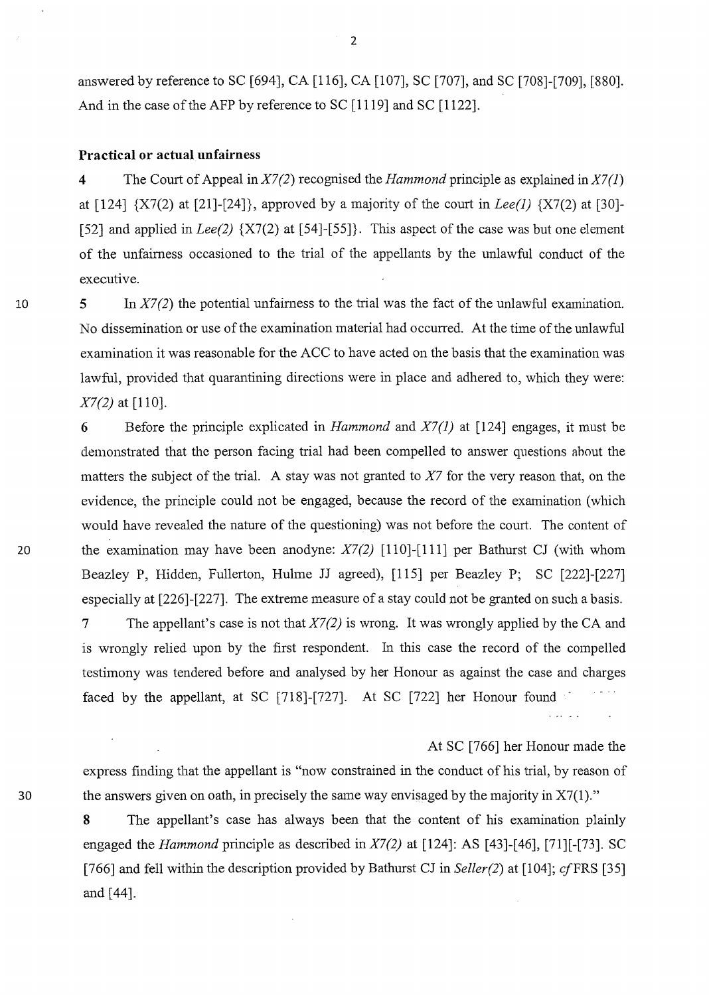answered by reference to SC [694], CA [116], CA [107], SC [707], and SC [708]-[709], [880]. And in the case of the AFP by reference to SC [1119] and SC [1122].

### **Practical or actual unfairness**

**4** The Court of Appeal in *X7 (2)* recognised the *Hammond* principle as explained in *X7* (1) at [124] {X7(2) at [21]-[24]}, approved by a majority of the court in *Lee(l)* {X7(2) at [30]- [52] and applied in *Lee(2)* {X7(2) at [54]-[55]}. This aspect of the case was but one element of the unfairness occasioned to the trial of the appellants by the unlawful conduct of the executive.

**5** In *X7 (2)* the potential unfairness to the trial was the fact of the unlawful examination. No dissemination or use of the examination material had occurred. At the time of the unlawful examination it was reasonable for the ACC to have acted on the basis that the examination was lawful, provided that quarantining directions were in place and adhered to, which they were: *X7(2)* at [110].

6 Before the principle explicated in *Hammond* and *X7(1)* at [124] engages, it must be demonstrated that the person facing trial had been compelled to answer questions ahout the matters the subject of the trial. A stay was not granted to *X7* for the very reason that, on the evidence, the principle could not be engaged, because the record of the examination (which would have revealed the nature of the questioning) was not before the court. The content of 20 the examination may have been anodyne: *X7(2)* [110]-[111] per Bathurst CJ (with whom Beazley P, Hidden, Fullerton, Hulme JJ agreed), [115] per Beazley P; SC [222]-[227] especially at [226]-[227]. The extreme measure of a stay could not be granted on such a basis. 7 The appellant's case is not that *X7(2)* is wrong. It was wrongly applied by the CA and

is wrongly relied upon by the first respondent. In this case the record of the compelled testimony was tendered before and analysed by her Honour as against the case and charges faced by the appellant, at SC [718]-[727]. At SC [722] her Honour found

At SC [766] her Honour made the express finding that the appellant is "now constrained in the conduct of his trial, by reason of 30 the answers given on oath, in precisely the same way envisaged by the majority in X7(1)."

> **8** The appellant's case has always been that the content of his examination plainly engaged the *Hammond* principle as described in *X7(2)* at [124]: AS [43]-[46], [71][-[73]. SC [766] and fell within the description provided by Bathurst CJ in *Seller(2)* at [104]; cfFRS [35] and[44].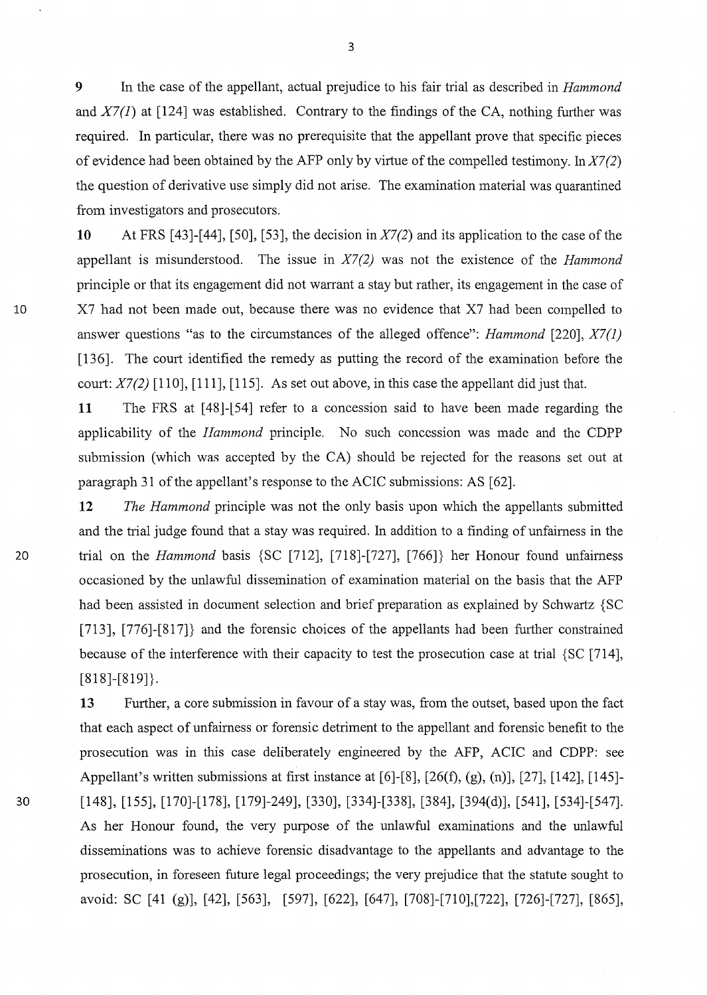9 In the case of the appellant, actual prejudice to his fair trial as described in *Hammond*  and *X7(1)* at [124] was established. Contrary to the findings of the CA, nothing further was required. In particular, there was no prerequisite that the appellant prove that specific pieces of evidence had been obtained by the AFP only by virtue of the compelled testimony. *InX7(2)*  the question of derivative use simply did not arise. The examination material was quarantined from investigators and prosecutors.

10 At FRS [43]-[44], [50], [53], the decision *inX7(2)* and its application to the case of the appellant is misunderstood. The issue in *X7(2)* was not the existence of the *Hammond*  principle or that its engagement did not warrant a stay but rather, its engagement in the case of 10 X7 had not been made out, because there was no evidence that X7 had been compelled to answer questions "as to the circumstances of the alleged offence": *Hammond* [220], *X7(1)*  [136]. The court identified the remedy as putting the record of the examination before the court: *X7(2)* [110], [111], [115]. As set out above, in this case the appellant did just that.

> 11 The FRS at [48J-l54] refer to a concession said to have been made regarding the applicability of the *Ilammond* principle. No such concession was made and the CDPP submissjon (which was accepted by the CA) should be rejected for the reasons set out at paragraph 31 of the appellant's response to the ACIC submissions: AS [62].

12 *The Hammond* principle was not the only basis upon which the appellants submitted and the trial judge found that a stay was required. In addition to a finding of unfairness in the 20 trial on the *Hammond* basis {SC [712], [718]-[727], [766]} her Honour found unfairness occasioned by the unlawful dissemination of examination material on the basis that the AFP had been assisted in document selection and brief preparation as explained by Schwartz {SC [713], [776]-[817]} and the forensic choices of the appellants had been further constrained because of the interference with their capacity to test the prosecution case at trial {SC [714], [818]-[819]}.

13 Further, a core submission in favour of a stay was, from the outset, based upon the fact that each aspect of unfairness or forensic detriment to the appellant and forensic benefit to the prosecution was in this case deliberately engineered by the AFP, ACIC and CDPP: see Appellant's written submissions at first instance at [6]-[8], [26(f), (g), (n)], [27], [142], [145]- 30 [148], [155], [170]-[178], [179]-249], [330], [334]-[338], [384], [394(d)], [541], [534]-[547]. As her Honour found, the very purpose of the unlawful examinations and the unlawful disseminations was to achieve forensic disadvantage to the appellants and advantage to the prosecution, in foreseen future legal proceedings; the very prejudice that the statute sought to avoid: se [41 (g)], [42], [563], [597], [622], [647], [708]-[710],[722], [726]-[727], [865],

3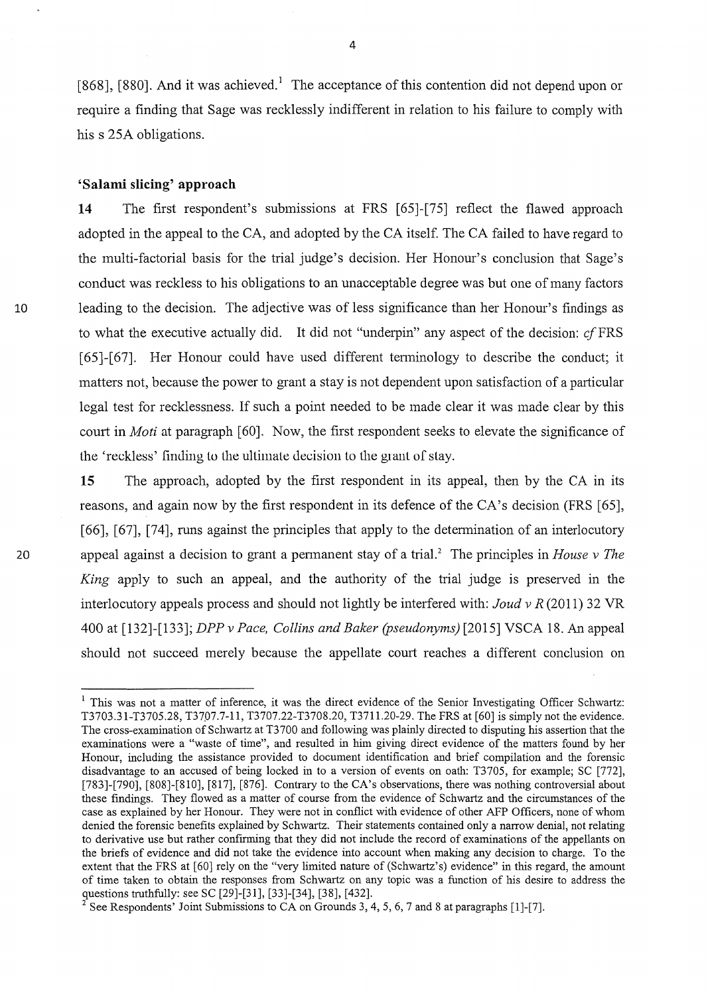[868], [880]. And it was achieved.<sup>1</sup> The acceptance of this contention did not depend upon or require a finding that Sage was recklessly indifferent in relation to his failure to comply with his s 25A obligations.

## **'Salami slicing' approach**

**14** The first respondent's submissions at FRS [65]-[75] reflect the flawed approach adopted in the appeal to the CA, and adopted by the CA itself. The CA failed to have regard to the multi-factorial basis for the trial judge's decision. Her Honour's conclusion that Sage's conduct was reckless to his obligations to an unacceptable degree was but one of many factors 10 leading to the decision. The adjective was of less significance than her Honour's findings as to what the executive actually did. It did not "underpin" any aspect of the decision: cf FRS [65]-[67]. Her Honour could have used different terminology to describe the conduct; it matters not, because the power to grant a stay is not dependent upon satisfaction of a particular legal test for recklessness. If such a point needed to be made clear it was made clear by this court in *Moti* at paragraph [60]. Now, the first respondent seeks to elevate the significance of the 'reckless' Iimling to the ultimate uecision to the grant of stay.

**15** The approach, adopted by the first respondent in its appeal, then by the CA in its reasons, and again now by the first respondent in its defence of the CA's decision (FRS [65], [66], [67], [74], runs against the principles that apply to the determination of an interlocutory 20 appeal against a decision to grant a pennanent stay of a triaJ.2 The principles in *House v The King* apply to such an appeal, and the authority of the trial judge is preserved in the interlocutory appeals process and should not lightly be interfered with: *Joud v R* (2011) 32 VR 400 at [132]-[133]; *DPP v Pace, Collins and Baker (pseudonyms)* [2015] VSCA 18. An appeal should not succeed merely because the appellate court reaches a different conclusion on

<sup>&</sup>lt;sup>1</sup> This was not a matter of inference, it was the direct evidence of the Senior Investigating Officer Schwartz: T3703.31-T3705.28, T3707.7-11, T3707.22-T3708.20, T3711.20-29. The FRS at [60] is simply not the evidence. The cross-examination of Schwartz at T3700 and following was plainly directed to disputing his assertion that the examinations were a "waste of time", and resulted in him giving direct evidence of the matters found by her Honour, including the assistance provided to document identification and brief compilation and the forensic disadvantage to an accused of being locked in to a version of events on oath: T3705, for example; SC [772], [783]-[790], [808]-[810], [817], [876]. Contrary to the CA's observations, there was nothing controversial about these findings. They flowed as a matter of course from the evidence of Schwartz and the circumstances of the case as explained by her Honour. They were not in conflict with evidence of other AFP Officers, none of whom denied the forensic benefits explained by Schwartz. Their statements contained only a narrow denial, not relating to derivative use but rather confirming that they did not include the record of examinations of the appellants on the briefs of evidence and did not take the evidence into account when making any decision to charge. To the extent that the FRS at [60] rely on the "very limited nature of (Schwartz's) evidence" in this regard, the amount of time taken to obtain the responses from Schwartz on any topic was a function of his desire to address the questions truthfully: see SC [29]-[31], [33]-[34], [38], [432]. <sup>2</sup> See Respondents' Joint Submissions to CA on Grounds 3, 4, 5, 6, 7 and 8 at paragraphs [1]-[7].